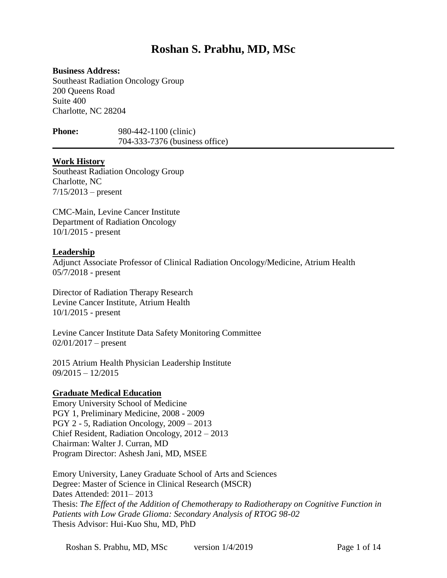# **Roshan S. Prabhu, MD, MSc**

#### **Business Address:**

Southeast Radiation Oncology Group 200 Queens Road Suite 400 Charlotte, NC 28204

**Phone:** 980-442-1100 (clinic) 704-333-7376 (business office)

#### **Work History**

Southeast Radiation Oncology Group Charlotte, NC  $7/15/2013$  – present

CMC-Main, Levine Cancer Institute Department of Radiation Oncology 10/1/2015 - present

#### **Leadership**

Adjunct Associate Professor of Clinical Radiation Oncology/Medicine, Atrium Health 05/7/2018 - present

Director of Radiation Therapy Research Levine Cancer Institute, Atrium Health 10/1/2015 - present

Levine Cancer Institute Data Safety Monitoring Committee  $02/01/2017$  – present

2015 Atrium Health Physician Leadership Institute 09/2015 – 12/2015

#### **Graduate Medical Education**

Emory University School of Medicine PGY 1, Preliminary Medicine, 2008 - 2009 PGY 2 - 5, Radiation Oncology, 2009 – 2013 Chief Resident, Radiation Oncology, 2012 – 2013 Chairman: Walter J. Curran, MD Program Director: Ashesh Jani, MD, MSEE

Emory University, Laney Graduate School of Arts and Sciences Degree: Master of Science in Clinical Research (MSCR) Dates Attended: 2011– 2013 Thesis: *The Effect of the Addition of Chemotherapy to Radiotherapy on Cognitive Function in Patients with Low Grade Glioma: Secondary Analysis of RTOG 98-02* Thesis Advisor: Hui-Kuo Shu, MD, PhD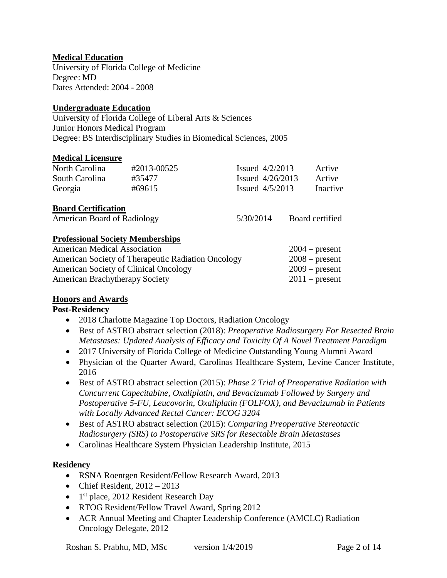# **Medical Education**

University of Florida College of Medicine Degree: MD Dates Attended: 2004 - 2008

### **Undergraduate Education**

University of Florida College of Liberal Arts & Sciences Junior Honors Medical Program Degree: BS Interdisciplinary Studies in Biomedical Sciences, 2005

#### **Medical Licensure**

| North Carolina | #2013-00525 | Issued $4/2/2013$  | Active   |
|----------------|-------------|--------------------|----------|
| South Carolina | #35477      | Issued $4/26/2013$ | Active   |
| Georgia        | #69615      | Issued $4/5/2013$  | Inactive |

#### **Board Certification**

| American Board of Radiology | 5/30/2014 | Board certified |
|-----------------------------|-----------|-----------------|
|-----------------------------|-----------|-----------------|

# **Professional Society Memberships**

| <b>American Medical Association</b>                | $2004$ – present |
|----------------------------------------------------|------------------|
| American Society of Therapeutic Radiation Oncology | $2008$ – present |
| American Society of Clinical Oncology              | $2009$ – present |
| <b>American Brachytherapy Society</b>              | $2011$ – present |

## **Honors and Awards**

## **Post-Residency**

- 2018 Charlotte Magazine Top Doctors, Radiation Oncology
- Best of ASTRO abstract selection (2018): *Preoperative Radiosurgery For Resected Brain Metastases: Updated Analysis of Efficacy and Toxicity Of A Novel Treatment Paradigm*
- 2017 University of Florida College of Medicine Outstanding Young Alumni Award
- Physician of the Quarter Award, Carolinas Healthcare System, Levine Cancer Institute, 2016
- Best of ASTRO abstract selection (2015): *Phase 2 Trial of Preoperative Radiation with Concurrent Capecitabine, Oxaliplatin, and Bevacizumab Followed by Surgery and Postoperative 5-FU, Leucovorin, Oxaliplatin (FOLFOX), and Bevacizumab in Patients with Locally Advanced Rectal Cancer: ECOG 3204*
- Best of ASTRO abstract selection (2015): *Comparing Preoperative Stereotactic Radiosurgery (SRS) to Postoperative SRS for Resectable Brain Metastases*
- Carolinas Healthcare System Physician Leadership Institute, 2015

## **Residency**

- RSNA Roentgen Resident/Fellow Research Award, 2013
- Chief Resident,  $2012 2013$
- 1<sup>st</sup> place, 2012 Resident Research Day
- RTOG Resident/Fellow Travel Award, Spring 2012
- ACR Annual Meeting and Chapter Leadership Conference (AMCLC) Radiation Oncology Delegate, 2012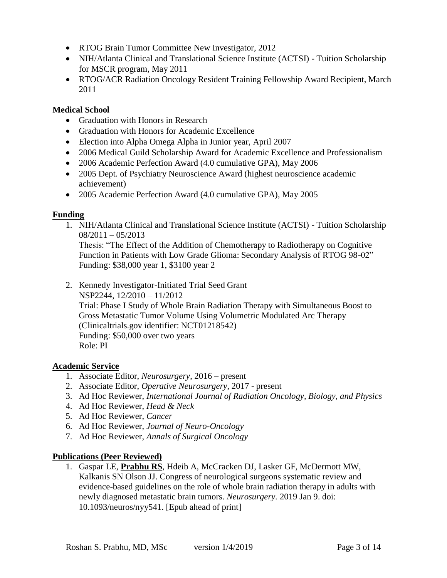- RTOG Brain Tumor Committee New Investigator, 2012
- NIH/Atlanta Clinical and Translational Science Institute (ACTSI) Tuition Scholarship for MSCR program, May 2011
- RTOG/ACR Radiation Oncology Resident Training Fellowship Award Recipient, March 2011

### **Medical School**

- Graduation with Honors in Research
- Graduation with Honors for Academic Excellence
- Election into Alpha Omega Alpha in Junior year, April 2007
- 2006 Medical Guild Scholarship Award for Academic Excellence and Professionalism
- 2006 Academic Perfection Award (4.0 cumulative GPA), May 2006
- 2005 Dept. of Psychiatry Neuroscience Award (highest neuroscience academic achievement)
- 2005 Academic Perfection Award (4.0 cumulative GPA), May 2005

## **Funding**

1. NIH/Atlanta Clinical and Translational Science Institute (ACTSI) - Tuition Scholarship  $08/2011 - 05/2013$ 

Thesis: "The Effect of the Addition of Chemotherapy to Radiotherapy on Cognitive Function in Patients with Low Grade Glioma: Secondary Analysis of RTOG 98-02" Funding: \$38,000 year 1, \$3100 year 2

2. Kennedy Investigator-Initiated Trial Seed Grant

NSP2244, 12/2010 – 11/2012 Trial: Phase I Study of Whole Brain Radiation Therapy with Simultaneous Boost to Gross Metastatic Tumor Volume Using Volumetric Modulated Arc Therapy (Clinicaltrials.gov identifier: NCT01218542) Funding: \$50,000 over two years Role: PI

#### **Academic Service**

- 1. Associate Editor, *Neurosurgery*, 2016 present
- 2. Associate Editor, *Operative Neurosurgery*, 2017 present
- 3. Ad Hoc Reviewer, *International Journal of Radiation Oncology, Biology, and Physics*
- 4. Ad Hoc Reviewer, *Head & Neck*
- 5. Ad Hoc Reviewer, *Cancer*
- 6. Ad Hoc Reviewer, *Journal of Neuro-Oncology*
- 7. Ad Hoc Reviewer, *Annals of Surgical Oncology*

#### **Publications (Peer Reviewed)**

1. Gaspar LE, **Prabhu RS**, Hdeib A, McCracken DJ, Lasker GF, McDermott MW, Kalkanis SN Olson JJ. Congress of neurological surgeons systematic review and evidence-based guidelines on the role of whole brain radiation therapy in adults with newly diagnosed metastatic brain tumors. *Neurosurgery.* 2019 Jan 9. doi: 10.1093/neuros/nyy541. [Epub ahead of print]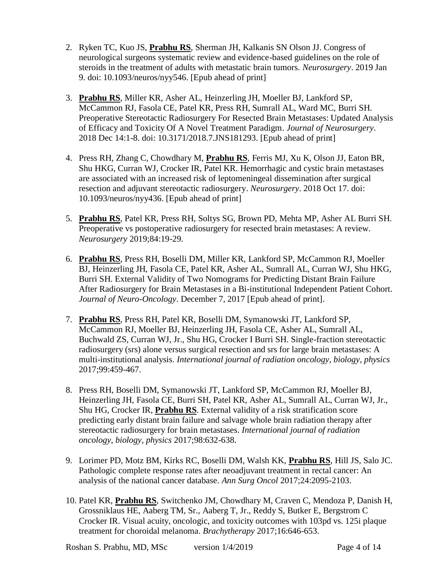- 2. Ryken TC, Kuo JS, **Prabhu RS**, Sherman JH, Kalkanis SN Olson JJ. Congress of neurological surgeons systematic review and evidence-based guidelines on the role of steroids in the treatment of adults with metastatic brain tumors. *Neurosurgery*. 2019 Jan 9. doi: 10.1093/neuros/nyy546. [Epub ahead of print]
- 3. **Prabhu RS**, Miller KR, Asher AL, Heinzerling JH, Moeller BJ, Lankford SP, McCammon RJ, Fasola CE, Patel KR, Press RH, Sumrall AL, Ward MC, Burri SH. Preoperative Stereotactic Radiosurgery For Resected Brain Metastases: Updated Analysis of Efficacy and Toxicity Of A Novel Treatment Paradigm. *Journal of Neurosurgery*. 2018 Dec 14:1-8. doi: 10.3171/2018.7.JNS181293. [Epub ahead of print]
- 4. Press RH, Zhang C, Chowdhary M, **Prabhu RS**, Ferris MJ, Xu K, Olson JJ, Eaton BR, Shu HKG, Curran WJ, Crocker IR, Patel KR. Hemorrhagic and cystic brain metastases are associated with an increased risk of leptomeningeal dissemination after surgical resection and adjuvant stereotactic radiosurgery. *Neurosurgery*. 2018 Oct 17. doi: 10.1093/neuros/nyy436. [Epub ahead of print]
- 5. **Prabhu RS**, Patel KR, Press RH, Soltys SG, Brown PD, Mehta MP, Asher AL Burri SH. Preoperative vs postoperative radiosurgery for resected brain metastases: A review. *Neurosurgery* 2019;84:19-29.
- 6. **Prabhu RS**, Press RH, Boselli DM, Miller KR, Lankford SP, McCammon RJ, Moeller BJ, Heinzerling JH, Fasola CE, Patel KR, Asher AL, Sumrall AL, Curran WJ, Shu HKG, Burri SH. External Validity of Two Nomograms for Predicting Distant Brain Failure After Radiosurgery for Brain Metastases in a Bi-institutional Independent Patient Cohort. *Journal of Neuro-Oncology*. December 7, 2017 [Epub ahead of print].
- 7. **Prabhu RS**, Press RH, Patel KR, Boselli DM, Symanowski JT, Lankford SP, McCammon RJ, Moeller BJ, Heinzerling JH, Fasola CE, Asher AL, Sumrall AL, Buchwald ZS, Curran WJ, Jr., Shu HG, Crocker I Burri SH. Single-fraction stereotactic radiosurgery (srs) alone versus surgical resection and srs for large brain metastases: A multi-institutional analysis. *International journal of radiation oncology, biology, physics* 2017;99:459-467.
- 8. Press RH, Boselli DM, Symanowski JT, Lankford SP, McCammon RJ, Moeller BJ, Heinzerling JH, Fasola CE, Burri SH, Patel KR, Asher AL, Sumrall AL, Curran WJ, Jr., Shu HG, Crocker IR, **Prabhu RS**. External validity of a risk stratification score predicting early distant brain failure and salvage whole brain radiation therapy after stereotactic radiosurgery for brain metastases. *International journal of radiation oncology, biology, physics* 2017;98:632-638.
- 9. Lorimer PD, Motz BM, Kirks RC, Boselli DM, Walsh KK, **Prabhu RS**, Hill JS, Salo JC. Pathologic complete response rates after neoadjuvant treatment in rectal cancer: An analysis of the national cancer database. *Ann Surg Oncol* 2017;24:2095-2103.
- 10. Patel KR, **Prabhu RS**, Switchenko JM, Chowdhary M, Craven C, Mendoza P, Danish H, Grossniklaus HE, Aaberg TM, Sr., Aaberg T, Jr., Reddy S, Butker E, Bergstrom C Crocker IR. Visual acuity, oncologic, and toxicity outcomes with 103pd vs. 125i plaque treatment for choroidal melanoma. *Brachytherapy* 2017;16:646-653.

Roshan S. Prabhu, MD, MSc version 1/4/2019 Page 4 of 14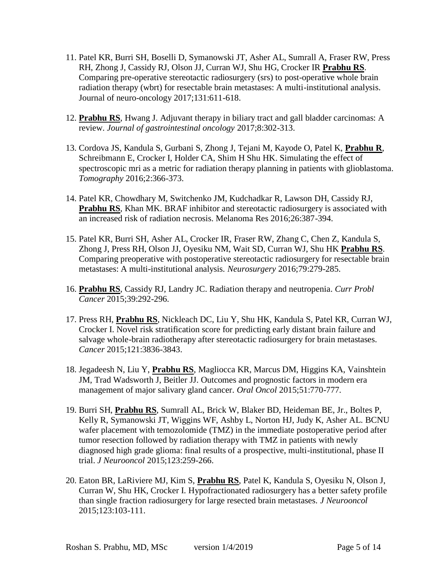- 11. Patel KR, Burri SH, Boselli D, Symanowski JT, Asher AL, Sumrall A, Fraser RW, Press RH, Zhong J, Cassidy RJ, Olson JJ, Curran WJ, Shu HG, Crocker IR **Prabhu RS**. Comparing pre-operative stereotactic radiosurgery (srs) to post-operative whole brain radiation therapy (wbrt) for resectable brain metastases: A multi-institutional analysis. Journal of neuro-oncology 2017;131:611-618.
- 12. **Prabhu RS**, Hwang J. Adjuvant therapy in biliary tract and gall bladder carcinomas: A review. *Journal of gastrointestinal oncology* 2017;8:302-313.
- 13. Cordova JS, Kandula S, Gurbani S, Zhong J, Tejani M, Kayode O, Patel K, **Prabhu R**, Schreibmann E, Crocker I, Holder CA, Shim H Shu HK. Simulating the effect of spectroscopic mri as a metric for radiation therapy planning in patients with glioblastoma. *Tomography* 2016;2:366-373.
- 14. Patel KR, Chowdhary M, Switchenko JM, Kudchadkar R, Lawson DH, Cassidy RJ, **Prabhu RS**, Khan MK. BRAF inhibitor and stereotactic radiosurgery is associated with an increased risk of radiation necrosis. Melanoma Res 2016;26:387-394.
- 15. Patel KR, Burri SH, Asher AL, Crocker IR, Fraser RW, Zhang C, Chen Z, Kandula S, Zhong J, Press RH, Olson JJ, Oyesiku NM, Wait SD, Curran WJ, Shu HK **Prabhu RS**. Comparing preoperative with postoperative stereotactic radiosurgery for resectable brain metastases: A multi-institutional analysis. *Neurosurgery* 2016;79:279-285.
- 16. **Prabhu RS**, Cassidy RJ, Landry JC. Radiation therapy and neutropenia. *Curr Probl Cancer* 2015;39:292-296.
- 17. Press RH, **Prabhu RS**, Nickleach DC, Liu Y, Shu HK, Kandula S, Patel KR, Curran WJ, Crocker I. Novel risk stratification score for predicting early distant brain failure and salvage whole-brain radiotherapy after stereotactic radiosurgery for brain metastases. *Cancer* 2015;121:3836-3843.
- 18. Jegadeesh N, Liu Y, **Prabhu RS**, Magliocca KR, Marcus DM, Higgins KA, Vainshtein JM, Trad Wadsworth J, Beitler JJ. Outcomes and prognostic factors in modern era management of major salivary gland cancer. *Oral Oncol* 2015;51:770-777*.*
- 19. Burri SH, **Prabhu RS**, Sumrall AL, Brick W, Blaker BD, Heideman BE, Jr., Boltes P, Kelly R, Symanowski JT, Wiggins WF, Ashby L, Norton HJ, Judy K, Asher AL. BCNU wafer placement with temozolomide (TMZ) in the immediate postoperative period after tumor resection followed by radiation therapy with TMZ in patients with newly diagnosed high grade glioma: final results of a prospective, multi-institutional, phase II trial. *J Neurooncol* 2015;123:259-266.
- 20. Eaton BR, LaRiviere MJ, Kim S, **Prabhu RS**, Patel K, Kandula S, Oyesiku N, Olson J, Curran W, Shu HK, Crocker I. Hypofractionated radiosurgery has a better safety profile than single fraction radiosurgery for large resected brain metastases. *J Neurooncol* 2015;123:103-111.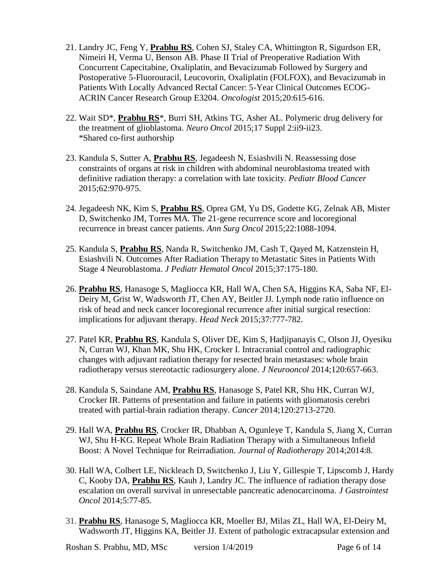- 21. Landry JC, Feng Y, **Prabhu RS**, Cohen SJ, Staley CA, Whittington R, Sigurdson ER, Nimeiri H, Verma U, Benson AB. Phase II Trial of Preoperative Radiation With Concurrent Capecitabine, Oxaliplatin, and Bevacizumab Followed by Surgery and Postoperative 5-Fluorouracil, Leucovorin, Oxaliplatin (FOLFOX), and Bevacizumab in Patients With Locally Advanced Rectal Cancer: 5-Year Clinical Outcomes ECOG-ACRIN Cancer Research Group E3204. *Oncologist* 2015;20:615-616.
- 22. Wait SD\*, **Prabhu RS**\*, Burri SH, Atkins TG, Asher AL. Polymeric drug delivery for the treatment of glioblastoma. *Neuro Oncol* 2015;17 Suppl 2:ii9-ii23. \*Shared co-first authorship
- 23. Kandula S, Sutter A, **Prabhu RS**, Jegadeesh N, Esiashvili N. Reassessing dose constraints of organs at risk in children with abdominal neuroblastoma treated with definitive radiation therapy: a correlation with late toxicity. *Pediatr Blood Cancer* 2015;62:970-975.
- 24. Jegadeesh NK, Kim S, **Prabhu RS**, Oprea GM, Yu DS, Godette KG, Zelnak AB, Mister D, Switchenko JM, Torres MA. The 21-gene recurrence score and locoregional recurrence in breast cancer patients. *Ann Surg Oncol* 2015;22:1088-1094.
- 25. Kandula S, **Prabhu RS**, Nanda R, Switchenko JM, Cash T, Qayed M, Katzenstein H, Esiashvili N. Outcomes After Radiation Therapy to Metastatic Sites in Patients With Stage 4 Neuroblastoma. *J Pediatr Hematol Oncol* 2015;37:175-180.
- 26. **Prabhu RS**, Hanasoge S, Magliocca KR, Hall WA, Chen SA, Higgins KA, Saba NF, El-Deiry M, Grist W, Wadsworth JT, Chen AY, Beitler JJ. Lymph node ratio influence on risk of head and neck cancer locoregional recurrence after initial surgical resection: implications for adjuvant therapy. *Head Neck* 2015;37:777-782.
- 27. Patel KR, **Prabhu RS**, Kandula S, Oliver DE, Kim S, Hadjipanayis C, Olson JJ, Oyesiku N, Curran WJ, Khan MK, Shu HK, Crocker I. Intracranial control and radiographic changes with adjuvant radiation therapy for resected brain metastases: whole brain radiotherapy versus stereotactic radiosurgery alone. *J Neurooncol* 2014;120:657-663.
- 28. Kandula S, Saindane AM, **Prabhu RS**, Hanasoge S, Patel KR, Shu HK, Curran WJ, Crocker IR. Patterns of presentation and failure in patients with gliomatosis cerebri treated with partial-brain radiation therapy. *Cancer* 2014;120:2713-2720.
- 29. Hall WA, **Prabhu RS**, Crocker IR, Dhabban A, Ogunleye T, Kandula S, Jiang X, Curran WJ, Shu H-KG. Repeat Whole Brain Radiation Therapy with a Simultaneous Infield Boost: A Novel Technique for Reirradiation. *Journal of Radiotherapy* 2014;2014:8.
- 30. Hall WA, Colbert LE, Nickleach D, Switchenko J, Liu Y, Gillespie T, Lipscomb J, Hardy C, Kooby DA, **Prabhu RS**, Kauh J, Landry JC. The influence of radiation therapy dose escalation on overall survival in unresectable pancreatic adenocarcinoma. *J Gastrointest Oncol* 2014;5:77-85.
- 31. **Prabhu RS**, Hanasoge S, Magliocca KR, Moeller BJ, Milas ZL, Hall WA, El-Deiry M, Wadsworth JT, Higgins KA, Beitler JJ. Extent of pathologic extracapsular extension and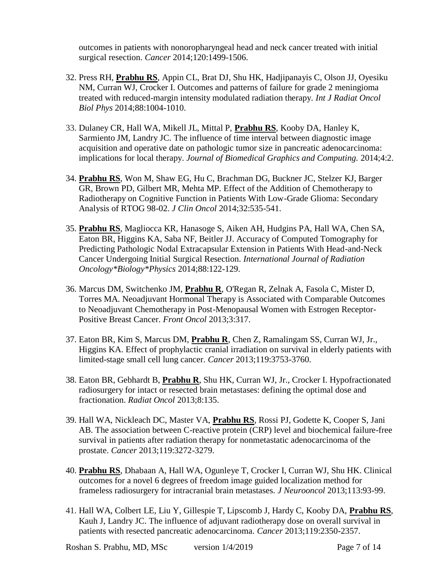outcomes in patients with nonoropharyngeal head and neck cancer treated with initial surgical resection. *Cancer* 2014;120:1499-1506.

- 32. Press RH, **Prabhu RS**, Appin CL, Brat DJ, Shu HK, Hadjipanayis C, Olson JJ, Oyesiku NM, Curran WJ, Crocker I. Outcomes and patterns of failure for grade 2 meningioma treated with reduced-margin intensity modulated radiation therapy. *Int J Radiat Oncol Biol Phys* 2014;88:1004-1010.
- 33. Dulaney CR, Hall WA, Mikell JL, Mittal P, **Prabhu RS**, Kooby DA, Hanley K, Sarmiento JM, Landry JC. The influence of time interval between diagnostic image acquisition and operative date on pathologic tumor size in pancreatic adenocarcinoma: implications for local therapy. *Journal of Biomedical Graphics and Computing.* 2014;4:2.
- 34. **Prabhu RS**, Won M, Shaw EG, Hu C, Brachman DG, Buckner JC, Stelzer KJ, Barger GR, Brown PD, Gilbert MR, Mehta MP. Effect of the Addition of Chemotherapy to Radiotherapy on Cognitive Function in Patients With Low-Grade Glioma: Secondary Analysis of RTOG 98-02. *J Clin Oncol* 2014;32:535-541.
- 35. **Prabhu RS**, Magliocca KR, Hanasoge S, Aiken AH, Hudgins PA, Hall WA, Chen SA, Eaton BR, Higgins KA, Saba NF, Beitler JJ. Accuracy of Computed Tomography for Predicting Pathologic Nodal Extracapsular Extension in Patients With Head-and-Neck Cancer Undergoing Initial Surgical Resection. *International Journal of Radiation Oncology\*Biology\*Physics* 2014;88:122-129.
- 36. Marcus DM, Switchenko JM, **Prabhu R**, O'Regan R, Zelnak A, Fasola C, Mister D, Torres MA. Neoadjuvant Hormonal Therapy is Associated with Comparable Outcomes to Neoadjuvant Chemotherapy in Post-Menopausal Women with Estrogen Receptor-Positive Breast Cancer. *Front Oncol* 2013;3:317.
- 37. Eaton BR, Kim S, Marcus DM, **Prabhu R**, Chen Z, Ramalingam SS, Curran WJ, Jr., Higgins KA. Effect of prophylactic cranial irradiation on survival in elderly patients with limited-stage small cell lung cancer. *Cancer* 2013;119:3753-3760.
- 38. Eaton BR, Gebhardt B, **Prabhu R**, Shu HK, Curran WJ, Jr., Crocker I. Hypofractionated radiosurgery for intact or resected brain metastases: defining the optimal dose and fractionation. *Radiat Oncol* 2013;8:135.
- 39. Hall WA, Nickleach DC, Master VA, **Prabhu RS**, Rossi PJ, Godette K, Cooper S, Jani AB. The association between C-reactive protein (CRP) level and biochemical failure-free survival in patients after radiation therapy for nonmetastatic adenocarcinoma of the prostate. *Cancer* 2013;119:3272-3279.
- 40. **Prabhu RS**, Dhabaan A, Hall WA, Ogunleye T, Crocker I, Curran WJ, Shu HK. Clinical outcomes for a novel 6 degrees of freedom image guided localization method for frameless radiosurgery for intracranial brain metastases. *J Neurooncol* 2013;113:93-99.
- 41. Hall WA, Colbert LE, Liu Y, Gillespie T, Lipscomb J, Hardy C, Kooby DA, **Prabhu RS**, Kauh J, Landry JC. The influence of adjuvant radiotherapy dose on overall survival in patients with resected pancreatic adenocarcinoma. *Cancer* 2013;119:2350-2357.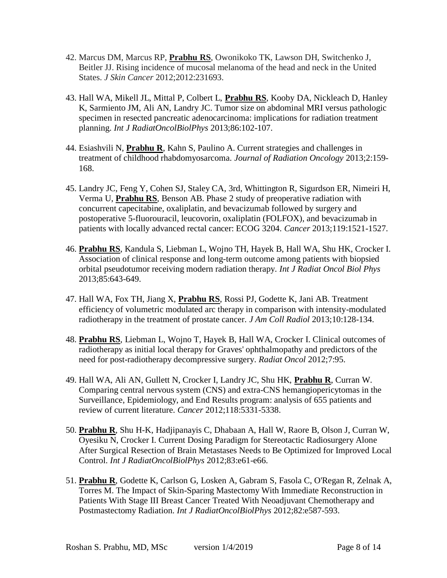- 42. Marcus DM, Marcus RP, **Prabhu RS**, Owonikoko TK, Lawson DH, Switchenko J, Beitler JJ. Rising incidence of mucosal melanoma of the head and neck in the United States. *J Skin Cancer* 2012;2012:231693.
- 43. Hall WA, Mikell JL, Mittal P, Colbert L, **Prabhu RS**, Kooby DA, Nickleach D, Hanley K, Sarmiento JM, Ali AN, Landry JC. Tumor size on abdominal MRI versus pathologic specimen in resected pancreatic adenocarcinoma: implications for radiation treatment planning. *Int J RadiatOncolBiolPhys* 2013;86:102-107.
- 44. Esiashvili N, **Prabhu R**, Kahn S, Paulino A. Current strategies and challenges in treatment of childhood rhabdomyosarcoma. *Journal of Radiation Oncology* 2013;2:159- 168.
- 45. Landry JC, Feng Y, Cohen SJ, Staley CA, 3rd, Whittington R, Sigurdson ER, Nimeiri H, Verma U, **Prabhu RS**, Benson AB. Phase 2 study of preoperative radiation with concurrent capecitabine, oxaliplatin, and bevacizumab followed by surgery and postoperative 5-fluorouracil, leucovorin, oxaliplatin (FOLFOX), and bevacizumab in patients with locally advanced rectal cancer: ECOG 3204. *Cancer* 2013;119:1521-1527.
- 46. **Prabhu RS**, Kandula S, Liebman L, Wojno TH, Hayek B, Hall WA, Shu HK, Crocker I. Association of clinical response and long-term outcome among patients with biopsied orbital pseudotumor receiving modern radiation therapy. *Int J Radiat Oncol Biol Phys* 2013;85:643-649.
- 47. Hall WA, Fox TH, Jiang X, **Prabhu RS**, Rossi PJ, Godette K, Jani AB. Treatment efficiency of volumetric modulated arc therapy in comparison with intensity-modulated radiotherapy in the treatment of prostate cancer. *J Am Coll Radiol* 2013;10:128-134.
- 48. **Prabhu RS**, Liebman L, Wojno T, Hayek B, Hall WA, Crocker I. Clinical outcomes of radiotherapy as initial local therapy for Graves' ophthalmopathy and predictors of the need for post-radiotherapy decompressive surgery. *Radiat Oncol* 2012;7:95.
- 49. Hall WA, Ali AN, Gullett N, Crocker I, Landry JC, Shu HK, **Prabhu R**, Curran W. Comparing central nervous system (CNS) and extra-CNS hemangiopericytomas in the Surveillance, Epidemiology, and End Results program: analysis of 655 patients and review of current literature. *Cancer* 2012;118:5331-5338.
- 50. **Prabhu R**, Shu H-K, Hadjipanayis C, Dhabaan A, Hall W, Raore B, Olson J, Curran W, Oyesiku N, Crocker I. Current Dosing Paradigm for Stereotactic Radiosurgery Alone After Surgical Resection of Brain Metastases Needs to Be Optimized for Improved Local Control. *Int J RadiatOncolBiolPhys* 2012;83:e61-e66.
- 51. **Prabhu R**, Godette K, Carlson G, Losken A, Gabram S, Fasola C, O'Regan R, Zelnak A, Torres M. The Impact of Skin-Sparing Mastectomy With Immediate Reconstruction in Patients With Stage III Breast Cancer Treated With Neoadjuvant Chemotherapy and Postmastectomy Radiation. *Int J RadiatOncolBiolPhys* 2012;82:e587-593.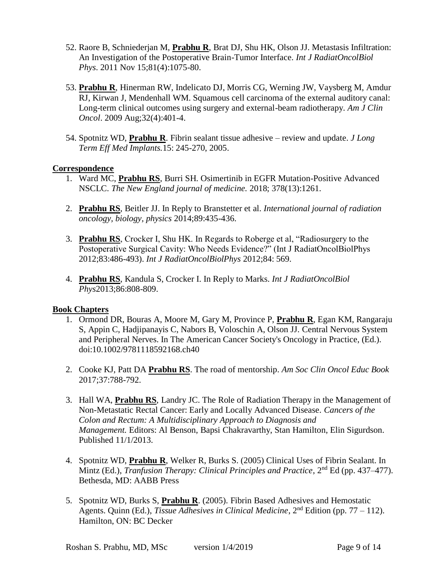- 52. Raore B, Schniederjan M, **Prabhu R**, Brat DJ, Shu HK, Olson JJ. Metastasis Infiltration: An Investigation of the Postoperative Brain-Tumor Interface. *Int J RadiatOncolBiol Phys*. 2011 Nov 15;81(4):1075-80.
- 53. **Prabhu R**, Hinerman RW, Indelicato DJ, Morris CG, Werning JW, Vaysberg M, Amdur RJ, Kirwan J, Mendenhall WM. Squamous cell carcinoma of the external auditory canal: Long-term clinical outcomes using surgery and external-beam radiotherapy. *Am J Clin Oncol*. 2009 Aug;32(4):401-4.
- 54. Spotnitz WD, **Prabhu R**. Fibrin sealant tissue adhesive review and update. *J Long Term Eff Med Implants.*15: 245-270, 2005.

## **Correspondence**

- 1. Ward MC, **Prabhu RS**, Burri SH. Osimertinib in EGFR Mutation-Positive Advanced NSCLC. *The New England journal of medicine.* 2018; 378(13):1261.
- 2. **Prabhu RS**, Beitler JJ. In Reply to Branstetter et al. *International journal of radiation oncology, biology, physics* 2014;89:435-436.
- 3. **Prabhu RS**, Crocker I, Shu HK. In Regards to Roberge et al, "Radiosurgery to the Postoperative Surgical Cavity: Who Needs Evidence?" (Int J RadiatOncolBiolPhys 2012;83:486-493). *Int J RadiatOncolBiolPhys* 2012;84: 569.
- 4. **Prabhu RS**, Kandula S, Crocker I. In Reply to Marks. *Int J RadiatOncolBiol Phys*2013;86:808-809.

## **Book Chapters**

- 1. Ormond DR, Bouras A, Moore M, Gary M, Province P, **Prabhu R**, Egan KM, Rangaraju S, Appin C, Hadjipanayis C, Nabors B, Voloschin A, Olson JJ. Central Nervous System and Peripheral Nerves. In The American Cancer Society's Oncology in Practice, (Ed.). doi:10.1002/9781118592168.ch40
- 2. Cooke KJ, Patt DA **Prabhu RS**. The road of mentorship. *Am Soc Clin Oncol Educ Book* 2017;37:788-792.
- 3. Hall WA, **Prabhu RS**, Landry JC. The Role of Radiation Therapy in the Management of Non-Metastatic Rectal Cancer: Early and Locally Advanced Disease. *Cancers of the Colon and Rectum: A Multidisciplinary Approach to Diagnosis and Management.* Editors: Al Benson, Bapsi Chakravarthy, Stan Hamilton, Elin Sigurdson. Published 11/1/2013.
- 4. Spotnitz WD, **Prabhu R**, Welker R, Burks S. (2005) Clinical Uses of Fibrin Sealant. In Mintz (Ed.), *Tranfusion Therapy: Clinical Principles and Practice*, 2<sup>nd</sup> Ed (pp. 437–477). Bethesda, MD: AABB Press
- 5. Spotnitz WD, Burks S, **Prabhu R**. (2005). Fibrin Based Adhesives and Hemostatic Agents. Quinn (Ed.), *Tissue Adhesives in Clinical Medicine*, 2nd Edition (pp. 77 – 112). Hamilton, ON: BC Decker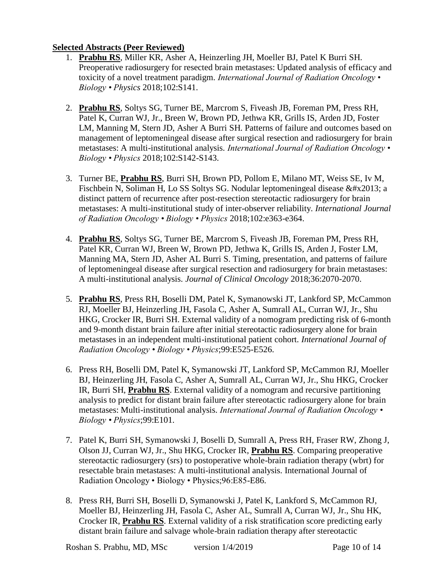## **Selected Abstracts (Peer Reviewed)**

- 1. **Prabhu RS**, Miller KR, Asher A, Heinzerling JH, Moeller BJ, Patel K Burri SH. Preoperative radiosurgery for resected brain metastases: Updated analysis of efficacy and toxicity of a novel treatment paradigm. *International Journal of Radiation Oncology • Biology • Physics* 2018;102:S141.
- 2. **Prabhu RS**, Soltys SG, Turner BE, Marcrom S, Fiveash JB, Foreman PM, Press RH, Patel K, Curran WJ, Jr., Breen W, Brown PD, Jethwa KR, Grills IS, Arden JD, Foster LM, Manning M, Stern JD, Asher A Burri SH. Patterns of failure and outcomes based on management of leptomeningeal disease after surgical resection and radiosurgery for brain metastases: A multi-institutional analysis. *International Journal of Radiation Oncology • Biology • Physics* 2018;102:S142-S143.
- 3. Turner BE, **Prabhu RS**, Burri SH, Brown PD, Pollom E, Milano MT, Weiss SE, Iv M, Fischbein N, Soliman H, Lo SS Soltys SG. Nodular leptomeningeal disease  $&\#x2013$ ; a distinct pattern of recurrence after post-resection stereotactic radiosurgery for brain metastases: A multi-institutional study of inter-observer reliability. *International Journal of Radiation Oncology • Biology • Physics* 2018;102:e363-e364.
- 4. **Prabhu RS**, Soltys SG, Turner BE, Marcrom S, Fiveash JB, Foreman PM, Press RH, Patel KR, Curran WJ, Breen W, Brown PD, Jethwa K, Grills IS, Arden J, Foster LM, Manning MA, Stern JD, Asher AL Burri S. Timing, presentation, and patterns of failure of leptomeningeal disease after surgical resection and radiosurgery for brain metastases: A multi-institutional analysis. *Journal of Clinical Oncology* 2018;36:2070-2070.
- 5. **Prabhu RS**, Press RH, Boselli DM, Patel K, Symanowski JT, Lankford SP, McCammon RJ, Moeller BJ, Heinzerling JH, Fasola C, Asher A, Sumrall AL, Curran WJ, Jr., Shu HKG, Crocker IR, Burri SH. External validity of a nomogram predicting risk of 6-month and 9-month distant brain failure after initial stereotactic radiosurgery alone for brain metastases in an independent multi-institutional patient cohort. *International Journal of Radiation Oncology • Biology • Physics*;99:E525-E526.
- 6. Press RH, Boselli DM, Patel K, Symanowski JT, Lankford SP, McCammon RJ, Moeller BJ, Heinzerling JH, Fasola C, Asher A, Sumrall AL, Curran WJ, Jr., Shu HKG, Crocker IR, Burri SH, **Prabhu RS**. External validity of a nomogram and recursive partitioning analysis to predict for distant brain failure after stereotactic radiosurgery alone for brain metastases: Multi-institutional analysis. *International Journal of Radiation Oncology • Biology • Physics*;99:E101.
- 7. Patel K, Burri SH, Symanowski J, Boselli D, Sumrall A, Press RH, Fraser RW, Zhong J, Olson JJ, Curran WJ, Jr., Shu HKG, Crocker IR, **Prabhu RS**. Comparing preoperative stereotactic radiosurgery (srs) to postoperative whole-brain radiation therapy (wbrt) for resectable brain metastases: A multi-institutional analysis. International Journal of Radiation Oncology • Biology • Physics;96:E85-E86.
- 8. Press RH, Burri SH, Boselli D, Symanowski J, Patel K, Lankford S, McCammon RJ, Moeller BJ, Heinzerling JH, Fasola C, Asher AL, Sumrall A, Curran WJ, Jr., Shu HK, Crocker IR, **Prabhu RS**. External validity of a risk stratification score predicting early distant brain failure and salvage whole-brain radiation therapy after stereotactic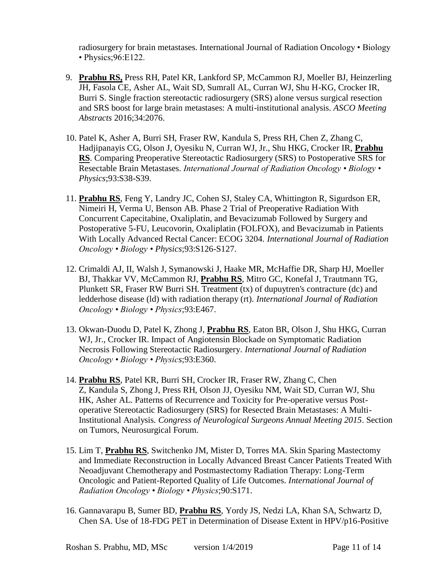radiosurgery for brain metastases. International Journal of Radiation Oncology • Biology • Physics;96:E122.

- 9. **Prabhu RS,** Press RH, Patel KR, Lankford SP, McCammon RJ, Moeller BJ, Heinzerling JH, Fasola CE, Asher AL, Wait SD, Sumrall AL, Curran WJ, Shu H-KG, Crocker IR, Burri S. Single fraction stereotactic radiosurgery (SRS) alone versus surgical resection and SRS boost for large brain metastases: A multi-institutional analysis. *ASCO Meeting Abstracts* 2016;34:2076.
- 10. Patel K, Asher A, Burri SH, Fraser RW, Kandula S, Press RH, Chen Z, Zhang C, Hadjipanayis CG, Olson J, Oyesiku N, Curran WJ, Jr., Shu HKG, Crocker IR, **Prabhu RS**. Comparing Preoperative Stereotactic Radiosurgery (SRS) to Postoperative SRS for Resectable Brain Metastases. *International Journal of Radiation Oncology • Biology • Physics*;93:S38-S39.
- 11. **Prabhu RS**, Feng Y, Landry JC, Cohen SJ, Staley CA, Whittington R, Sigurdson ER, Nimeiri H, Verma U, Benson AB. Phase 2 Trial of Preoperative Radiation With Concurrent Capecitabine, Oxaliplatin, and Bevacizumab Followed by Surgery and Postoperative 5-FU, Leucovorin, Oxaliplatin (FOLFOX), and Bevacizumab in Patients With Locally Advanced Rectal Cancer: ECOG 3204. *International Journal of Radiation Oncology • Biology • Physics*;93:S126-S127.
- 12. Crimaldi AJ, II, Walsh J, Symanowski J, Haake MR, McHaffie DR, Sharp HJ, Moeller BJ, Thakkar VV, McCammon RJ, **Prabhu RS**, Mitro GC, Konefal J, Trautmann TG, Plunkett SR, Fraser RW Burri SH. Treatment (tx) of dupuytren's contracture (dc) and ledderhose disease (ld) with radiation therapy (rt). *International Journal of Radiation Oncology • Biology • Physics*;93:E467.
- 13. Okwan-Duodu D, Patel K, Zhong J, **Prabhu RS**, Eaton BR, Olson J, Shu HKG, Curran WJ, Jr., Crocker IR. Impact of Angiotensin Blockade on Symptomatic Radiation Necrosis Following Stereotactic Radiosurgery. *International Journal of Radiation Oncology • Biology • Physics*;93:E360.
- 14. **Prabhu RS**, Patel KR, Burri SH, Crocker IR, Fraser RW, Zhang C, Chen Z, Kandula S, Zhong J, Press RH, Olson JJ, Oyesiku NM, Wait SD, Curran WJ, Shu HK, Asher AL. Patterns of Recurrence and Toxicity for Pre-operative versus Postoperative Stereotactic Radiosurgery (SRS) for Resected Brain Metastases: A Multi-Institutional Analysis*. Congress of Neurological Surgeons Annual Meeting 2015*. Section on Tumors, Neurosurgical Forum.
- 15. Lim T, **Prabhu RS**, Switchenko JM, Mister D, Torres MA. Skin Sparing Mastectomy and Immediate Reconstruction in Locally Advanced Breast Cancer Patients Treated With Neoadjuvant Chemotherapy and Postmastectomy Radiation Therapy: Long-Term Oncologic and Patient-Reported Quality of Life Outcomes. *International Journal of Radiation Oncology • Biology • Physics*;90:S171.
- 16. Gannavarapu B, Sumer BD, **Prabhu RS**, Yordy JS, Nedzi LA, Khan SA, Schwartz D, Chen SA. Use of 18-FDG PET in Determination of Disease Extent in HPV/p16-Positive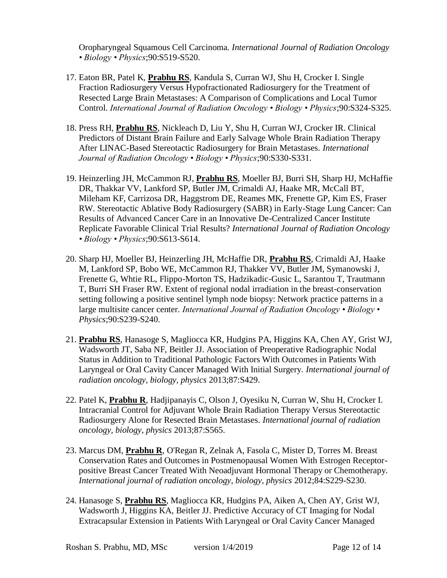Oropharyngeal Squamous Cell Carcinoma. *International Journal of Radiation Oncology • Biology • Physics*;90:S519-S520.

- 17. Eaton BR, Patel K, **Prabhu RS**, Kandula S, Curran WJ, Shu H, Crocker I. Single Fraction Radiosurgery Versus Hypofractionated Radiosurgery for the Treatment of Resected Large Brain Metastases: A Comparison of Complications and Local Tumor Control. *International Journal of Radiation Oncology • Biology • Physics*;90:S324-S325.
- 18. Press RH, **Prabhu RS**, Nickleach D, Liu Y, Shu H, Curran WJ, Crocker IR. Clinical Predictors of Distant Brain Failure and Early Salvage Whole Brain Radiation Therapy After LINAC-Based Stereotactic Radiosurgery for Brain Metastases. *International Journal of Radiation Oncology • Biology • Physics*;90:S330-S331.
- 19. Heinzerling JH, McCammon RJ, **Prabhu RS**, Moeller BJ, Burri SH, Sharp HJ, McHaffie DR, Thakkar VV, Lankford SP, Butler JM, Crimaldi AJ, Haake MR, McCall BT, Mileham KF, Carrizosa DR, Haggstrom DE, Reames MK, Frenette GP, Kim ES, Fraser RW. Stereotactic Ablative Body Radiosurgery (SABR) in Early-Stage Lung Cancer: Can Results of Advanced Cancer Care in an Innovative De-Centralized Cancer Institute Replicate Favorable Clinical Trial Results? *International Journal of Radiation Oncology • Biology • Physics*;90:S613-S614.
- 20. Sharp HJ, Moeller BJ, Heinzerling JH, McHaffie DR, **Prabhu RS**, Crimaldi AJ, Haake M, Lankford SP, Bobo WE, McCammon RJ, Thakker VV, Butler JM, Symanowski J, Frenette G, Whtie RL, Flippo-Morton TS, Hadzikadic-Gusic L, Sarantou T, Trautmann T, Burri SH Fraser RW. Extent of regional nodal irradiation in the breast-conservation setting following a positive sentinel lymph node biopsy: Network practice patterns in a large multisite cancer center. *International Journal of Radiation Oncology • Biology • Physics*;90:S239-S240.
- 21. **Prabhu RS**, Hanasoge S, Magliocca KR, Hudgins PA, Higgins KA, Chen AY, Grist WJ, Wadsworth JT, Saba NF, Beitler JJ. Association of Preoperative Radiographic Nodal Status in Addition to Traditional Pathologic Factors With Outcomes in Patients With Laryngeal or Oral Cavity Cancer Managed With Initial Surgery. *International journal of radiation oncology, biology, physics* 2013;87:S429.
- 22. Patel K, **Prabhu R**, Hadjipanayis C, Olson J, Oyesiku N, Curran W, Shu H, Crocker I. Intracranial Control for Adjuvant Whole Brain Radiation Therapy Versus Stereotactic Radiosurgery Alone for Resected Brain Metastases. *International journal of radiation oncology, biology, physics* 2013;87:S565.
- 23. Marcus DM, **Prabhu R**, O'Regan R, Zelnak A, Fasola C, Mister D, Torres M. Breast Conservation Rates and Outcomes in Postmenopausal Women With Estrogen Receptorpositive Breast Cancer Treated With Neoadjuvant Hormonal Therapy or Chemotherapy. *International journal of radiation oncology, biology, physics* 2012;84:S229-S230.
- 24. Hanasoge S, **Prabhu RS**, Magliocca KR, Hudgins PA, Aiken A, Chen AY, Grist WJ, Wadsworth J, Higgins KA, Beitler JJ. Predictive Accuracy of CT Imaging for Nodal Extracapsular Extension in Patients With Laryngeal or Oral Cavity Cancer Managed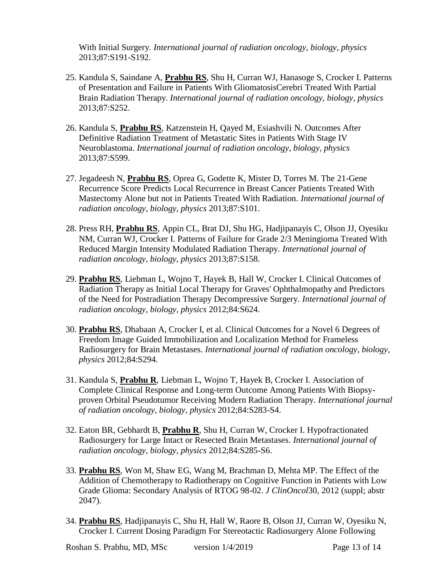With Initial Surgery. *International journal of radiation oncology, biology, physics* 2013;87:S191-S192.

- 25. Kandula S, Saindane A, **Prabhu RS**, Shu H, Curran WJ, Hanasoge S, Crocker I. Patterns of Presentation and Failure in Patients With GliomatosisCerebri Treated With Partial Brain Radiation Therapy. *International journal of radiation oncology, biology, physics* 2013;87:S252.
- 26. Kandula S, **Prabhu RS**, Katzenstein H, Qayed M, Esiashvili N. Outcomes After Definitive Radiation Treatment of Metastatic Sites in Patients With Stage IV Neuroblastoma. *International journal of radiation oncology, biology, physics* 2013;87:S599.
- 27. Jegadeesh N, **Prabhu RS**, Oprea G, Godette K, Mister D, Torres M. The 21-Gene Recurrence Score Predicts Local Recurrence in Breast Cancer Patients Treated With Mastectomy Alone but not in Patients Treated With Radiation. *International journal of radiation oncology, biology, physics* 2013;87:S101.
- 28. Press RH, **Prabhu RS**, Appin CL, Brat DJ, Shu HG, Hadjipanayis C, Olson JJ, Oyesiku NM, Curran WJ, Crocker I. Patterns of Failure for Grade 2/3 Meningioma Treated With Reduced Margin Intensity Modulated Radiation Therapy. *International journal of radiation oncology, biology, physics* 2013;87:S158.
- 29. **Prabhu RS**, Liebman L, Wojno T, Hayek B, Hall W, Crocker I. Clinical Outcomes of Radiation Therapy as Initial Local Therapy for Graves' Ophthalmopathy and Predictors of the Need for Postradiation Therapy Decompressive Surgery*. International journal of radiation oncology, biology, physics* 2012;84:S624.
- 30. **Prabhu RS**, Dhabaan A, Crocker I, et al. Clinical Outcomes for a Novel 6 Degrees of Freedom Image Guided Immobilization and Localization Method for Frameless Radiosurgery for Brain Metastases. *International journal of radiation oncology, biology, physics* 2012;84:S294.
- 31. Kandula S, **Prabhu R**, Liebman L, Wojno T, Hayek B, Crocker I. Association of Complete Clinical Response and Long-term Outcome Among Patients With Biopsyproven Orbital Pseudotumor Receiving Modern Radiation Therapy. *International journal of radiation oncology, biology, physics* 2012;84:S283-S4.
- 32. Eaton BR, Gebhardt B, **Prabhu R**, Shu H, Curran W, Crocker I. Hypofractionated Radiosurgery for Large Intact or Resected Brain Metastases. *International journal of radiation oncology, biology, physics* 2012;84:S285-S6.
- 33. **Prabhu RS**, Won M, Shaw EG, Wang M, Brachman D, Mehta MP. The Effect of the Addition of Chemotherapy to Radiotherapy on Cognitive Function in Patients with Low Grade Glioma: Secondary Analysis of RTOG 98-02. *J ClinOncol*30, 2012 (suppl; abstr 2047).
- 34. **Prabhu RS**, Hadjipanayis C, Shu H, Hall W, Raore B, Olson JJ, Curran W, Oyesiku N, Crocker I. Current Dosing Paradigm For Stereotactic Radiosurgery Alone Following